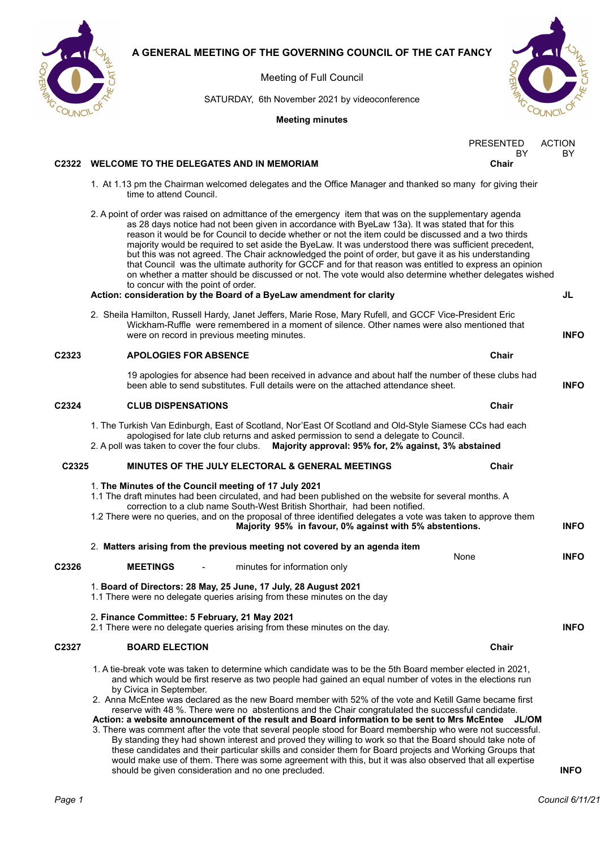

Meeting of Full Council

SATURDAY, 6th November 2021 by videoconference



**Meeting minutes**

| <b>PRESENTED</b> | <b>ACTION</b> |
|------------------|---------------|
| RY               | RУ            |
| Chair            |               |

### **C2322 WELCOME TO THE DELEGATES AND IN MEMORIAM Chair**

- 1. At 1.13 pm the Chairman welcomed delegates and the Office Manager and thanked so many for giving their time to attend Council.
- 2. A point of order was raised on admittance of the emergency item that was on the supplementary agenda as 28 days notice had not been given in accordance with ByeLaw 13a). It was stated that for this reason it would be for Council to decide whether or not the item could be discussed and a two thirds majority would be required to set aside the ByeLaw. It was understood there was sufficient precedent, but this was not agreed. The Chair acknowledged the point of order, but gave it as his understanding that Council was the ultimate authority for GCCF and for that reason was entitled to express an opinion on whether a matter should be discussed or not. The vote would also determine whether delegates wished to concur with the point of order.

### **Action: consideration by the Board of a ByeLaw amendment for clarity JL**

2. Sheila Hamilton, Russell Hardy, Janet Jeffers, Marie Rose, Mary Rufell, and GCCF Vice-President Eric Wickham-Ruffle were remembered in a moment of silence. Other names were also mentioned that were on record in previous meeting minutes. **INFO**

| Chair                        |
|------------------------------|
| <b>APOLOGIES FOR ABSENCE</b> |

19 apologies for absence had been received in advance and about half the number of these clubs had been able to send substitutes. Full details were on the attached attendance sheet. **INFO**

### **C2324 CLUB DISPENSATIONS Chair**

- 1. The Turkish Van Edinburgh, East of Scotland, Nor'East Of Scotland and Old-Style Siamese CCs had each apologised for late club returns and asked permission to send a delegate to Council.
- 2. A poll was taken to cover the four clubs. **Majority approval: 95% for, 2% against, 3% abstained**

### **C2325 MINUTES OF THE JULY ELECTORAL & GENERAL MEETINGS Chair**

- 1. **The Minutes of the Council meeting of 17 July 2021**  1.1 The draft minutes had been circulated, and had been published on the website for several months. A correction to a club name South-West British Shorthair, had been notified. 1.2 There were no queries, and on the proposal of three identified delegates a vote was taken to approve them
- **Majority 95% in favour, 0% against with 5% abstentions. INFO**
- 2. **Matters arising from the previous meeting not covered by an agenda item** None **INFO C2326 MEETINGS** - minutes for information only
	- 1. **Board of Directors: 28 May, 25 June, 17 July, 28 August 2021**

1.1 There were no delegate queries arising from these minutes on the day

2**. Finance Committee: 5 February, 21 May 2021** 

2.1 There were no delegate queries arising from these minutes on the day. **INFO**

### **C2327 BOARD ELECTION Chair**

1. A tie-break vote was taken to determine which candidate was to be the 5th Board member elected in 2021, and which would be first reserve as two people had gained an equal number of votes in the elections run by Civica in September.

2. Anna McEntee was declared as the new Board member with 52% of the vote and Ketill Game became first reserve with 48 %. There were no abstentions and the Chair congratulated the successful candidate. **Action: a website announcement of the result and Board information to be sent to Mrs McEntee JL/OM**

3. There was comment after the vote that several people stood for Board membership who were not successful. By standing they had shown interest and proved they willing to work so that the Board should take note of these candidates and their particular skills and consider them for Board projects and Working Groups that would make use of them. There was some agreement with this, but it was also observed that all expertise should be given consideration and no one precluded. **INFO**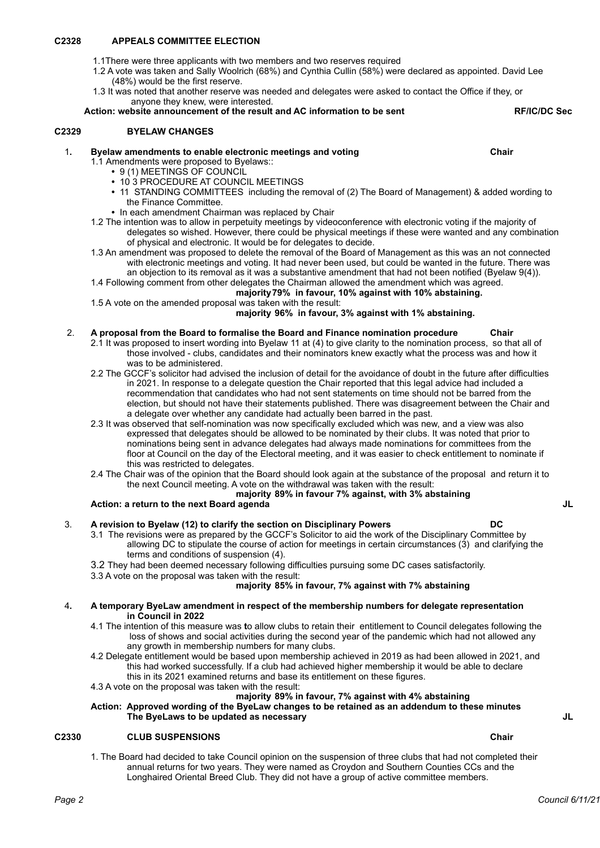### **C2328 APPEALS COMMITTEE ELECTION**

- 1.1There were three applicants with two members and two reserves required
- 1.2 A vote was taken and Sally Woolrich (68%) and Cynthia Cullin (58%) were declared as appointed. David Lee (48%) would be the first reserve.
- 1.3 It was noted that another reserve was needed and delegates were asked to contact the Office if they, or anyone they knew, were interested.

**Action: website announcement of the result and AC information to be sent RF/IC/DC Sec**

### **C2329 BYELAW CHANGES**

- 1.1 Amendments were proposed to Byelaws::
	- **•** 9 (1) MEETINGS OF COUNCIL
	- **•** 10 3 PROCEDURE AT COUNCIL MEETINGS
	- **•** 11 STANDING COMMITTEES including the removal of (2) The Board of Management) & added wording to the Finance Committee.
	- **•** In each amendment Chairman was replaced by Chair
- 1.2 The intention was to allow in perpetuity meetings by videoconference with electronic voting if the majority of delegates so wished. However, there could be physical meetings if these were wanted and any combination of physical and electronic. It would be for delegates to decide.
- 1.3 An amendment was proposed to delete the removal of the Board of Management as this was an not connected with electronic meetings and voting. It had never been used, but could be wanted in the future. There was an objection to its removal as it was a substantive amendment that had not been notified (Byelaw 9(4)).
- 1.4 Following comment from other delegates the Chairman allowed the amendment which was agreed.

### **majority79% in favour, 10% against with 10% abstaining.**

1.5 A vote on the amended proposal was taken with the result:

### **majority 96% in favour, 3% against with 1% abstaining.**

### 2. **A proposal from the Board to formalise the Board and Finance nomination procedure Chair**

- 2.1 It was proposed to insert wording into Byelaw 11 at (4) to give clarity to the nomination process, so that all of those involved - clubs, candidates and their nominators knew exactly what the process was and how it was to be administered.
- 2.2 The GCCF's solicitor had advised the inclusion of detail for the avoidance of doubt in the future after difficulties in 2021. In response to a delegate question the Chair reported that this legal advice had included a recommendation that candidates who had not sent statements on time should not be barred from the election, but should not have their statements published. There was disagreement between the Chair and a delegate over whether any candidate had actually been barred in the past.
- 2.3 It was observed that self-nomination was now specifically excluded which was new, and a view was also expressed that delegates should be allowed to be nominated by their clubs. It was noted that prior to nominations being sent in advance delegates had always made nominations for committees from the floor at Council on the day of the Electoral meeting, and it was easier to check entitlement to nominate if this was restricted to delegates.
- 2.4 The Chair was of the opinion that the Board should look again at the substance of the proposal and return it to the next Council meeting. A vote on the withdrawal was taken with the result:

#### **majority 89% in favour 7% against, with 3% abstaining Action: a return to the next Board agenda JL**

### 3. **A revision to Byelaw (12) to clarify the section on Disciplinary Powers DC**

- 3.1 The revisions were as prepared by the GCCF's Solicitor to aid the work of the Disciplinary Committee by allowing DC to stipulate the course of action for meetings in certain circumstances (3) and clarifying the terms and conditions of suspension (4).
- 3.2 They had been deemed necessary following difficulties pursuing some DC cases satisfactorily.
- 3.3 A vote on the proposal was taken with the result:

### **majority 85% in favour, 7% against with 7% abstaining**

- 4**. A temporary ByeLaw amendment in respect of the membership numbers for delegate representation in Council in 2022** 
	- 4.1 The intention of this measure was **t**o allow clubs to retain their entitlement to Council delegates following the loss of shows and social activities during the second year of the pandemic which had not allowed any any growth in membership numbers for many clubs.
	- 4.2 Delegate entitlement would be based upon membership achieved in 2019 as had been allowed in 2021, and this had worked successfully. If a club had achieved higher membership it would be able to declare this in its 2021 examined returns and base its entitlement on these figures.
		-
	- 4.3 A vote on the proposal was taken with the result:

# **majority 89% in favour, 7% against with 4% abstaining**

**Action: Approved wording of the ByeLaw changes to be retained as an addendum to these minutes The ByeLaws to be updated as necessary JL**

### **C2330 CLUB SUSPENSIONS Chair**

1. The Board had decided to take Council opinion on the suspension of three clubs that had not completed their annual returns for two years. They were named as Croydon and Southern Counties CCs and the Longhaired Oriental Breed Club. They did not have a group of active committee members.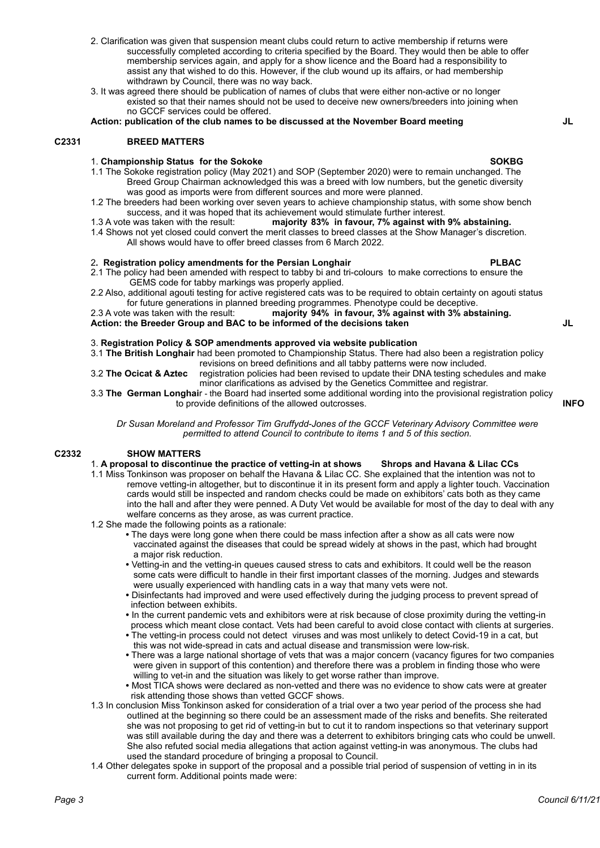- 2. Clarification was given that suspension meant clubs could return to active membership if returns were successfully completed according to criteria specified by the Board. They would then be able to offer membership services again, and apply for a show licence and the Board had a responsibility to assist any that wished to do this. However, if the club wound up its affairs, or had membership withdrawn by Council, there was no way back.
- 3. It was agreed there should be publication of names of clubs that were either non-active or no longer existed so that their names should not be used to deceive new owners/breeders into joining when no GCCF services could be offered.

**Action: publication of the club names to be discussed at the November Board meeting JL**

### **C2331 BREED MATTERS**

### 1. **Championship Status for the Sokoke SOKBG**

- 1.1 The Sokoke registration policy (May 2021) and SOP (September 2020) were to remain unchanged. The Breed Group Chairman acknowledged this was a breed with low numbers, but the genetic diversity was good as imports were from different sources and more were planned.
- 1.2 The breeders had been working over seven years to achieve championship status, with some show bench success, and it was hoped that its achievement would stimulate further interest.
- 1.3 A vote was taken with the result: **majority 83% in favour, 7% against with 9% abstaining.**
- 1.4 Shows not yet closed could convert the merit classes to breed classes at the Show Manager's discretion. All shows would have to offer breed classes from 6 March 2022.

#### 2**. Registration policy amendments for the Persian Longhair PLBAC**

- 2.1 The policy had been amended with respect to tabby bi and tri-colours to make corrections to ensure the GEMS code for tabby markings was properly applied.
- 2.2 Also, additional agouti testing for active registered cats was to be required to obtain certainty on agouti status for future generations in planned breeding programmes. Phenotype could be deceptive.

2.3 A vote was taken with the result: **majority 94% in favour, 3% against with 3% abstaining. Action: the Breeder Group and BAC to be informed of the decisions taken JL**

3. **Registration Policy & SOP amendments approved via website publication** 

3.1 **The British Longhair** had been promoted to Championship Status. There had also been a registration policy revisions on breed definitions and all tabby patterns were now included.

- 3.2 **The Ocicat & Aztec** registration policies had been revised to update their DNA testing schedules and make minor clarifications as advised by the Genetics Committee and registrar.
- 3.3 **The German Longhai**r the Board had inserted some additional wording into the provisional registration policy to provide definitions of the allowed outcrosses. **INFO**

*Dr Susan Moreland and Professor Tim Gruffydd-Jones of the GCCF Veterinary Advisory Committee were permitted to attend Council to contribute to items 1 and 5 of this section.*

#### **C2332 SHOW MATTERS**

- 1. **A proposal to discontinue the practice of vetting-in at shows Shrops and Havana & Lilac CCs**
- 1.1 Miss Tonkinson was proposer on behalf the Havana & Lilac CC. She explained that the intention was not to remove vetting-in altogether, but to discontinue it in its present form and apply a lighter touch. Vaccination cards would still be inspected and random checks could be made on exhibitors' cats both as they came into the hall and after they were penned. A Duty Vet would be available for most of the day to deal with any welfare concerns as they arose, as was current practice.
- 1.2 She made the following points as a rationale:
	- **•** The days were long gone when there could be mass infection after a show as all cats were now vaccinated against the diseases that could be spread widely at shows in the past, which had brought a major risk reduction.
	- **•** Vetting-in and the vetting-in queues caused stress to cats and exhibitors. It could well be the reason some cats were difficult to handle in their first important classes of the morning. Judges and stewards were usually experienced with handling cats in a way that many vets were not.
	- **•** Disinfectants had improved and were used effectively during the judging process to prevent spread of infection between exhibits.
	- **•** In the current pandemic vets and exhibitors were at risk because of close proximity during the vetting-in process which meant close contact. Vets had been careful to avoid close contact with clients at surgeries.
	- **•** The vetting-in process could not detect viruses and was most unlikely to detect Covid-19 in a cat, but this was not wide-spread in cats and actual disease and transmission were low-risk.
	- **•** There was a large national shortage of vets that was a major concern (vacancy figures for two companies were given in support of this contention) and therefore there was a problem in finding those who were willing to vet-in and the situation was likely to get worse rather than improve.
	- **•** Most TICA shows were declared as non-vetted and there was no evidence to show cats were at greater risk attending those shows than vetted GCCF shows.
- 1.3 In conclusion Miss Tonkinson asked for consideration of a trial over a two year period of the process she had outlined at the beginning so there could be an assessment made of the risks and benefits. She reiterated she was not proposing to get rid of vetting-in but to cut it to random inspections so that veterinary support was still available during the day and there was a deterrent to exhibitors bringing cats who could be unwell. She also refuted social media allegations that action against vetting-in was anonymous. The clubs had used the standard procedure of bringing a proposal to Council.
- 1.4 Other delegates spoke in support of the proposal and a possible trial period of suspension of vetting in in its current form. Additional points made were: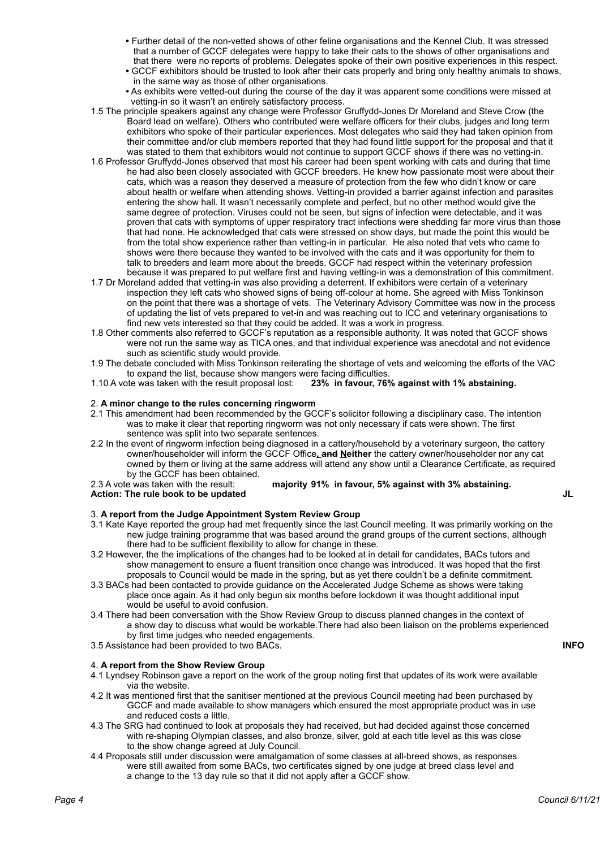- **•** Further detail of the non-vetted shows of other feline organisations and the Kennel Club. It was stressed that a number of GCCF delegates were happy to take their cats to the shows of other organisations and that there were no reports of problems. Delegates spoke of their own positive experiences in this respect.
- **•** GCCF exhibitors should be trusted to look after their cats properly and bring only healthy animals to shows, in the same way as those of other organisations.
- **•** As exhibits were vetted-out during the course of the day it was apparent some conditions were missed at vetting-in so it wasn't an entirely satisfactory process.
- 1.5 The principle speakers against any change were Professor Gruffydd-Jones Dr Moreland and Steve Crow (the Board lead on welfare). Others who contributed were welfare officers for their clubs, judges and long term exhibitors who spoke of their particular experiences. Most delegates who said they had taken opinion from their committee and/or club members reported that they had found little support for the proposal and that it was stated to them that exhibitors would not continue to support GCCF shows if there was no vetting-in.
- 1.6 Professor Gruffydd-Jones observed that most his career had been spent working with cats and during that time he had also been closely associated with GCCF breeders. He knew how passionate most were about their cats, which was a reason they deserved a measure of protection from the few who didn't know or care about health or welfare when attending shows. Vetting-in provided a barrier against infection and parasites entering the show hall. It wasn't necessarily complete and perfect, but no other method would give the same degree of protection. Viruses could not be seen, but signs of infection were detectable, and it was proven that cats with symptoms of upper respiratory tract infections were shedding far more virus than those that had none. He acknowledged that cats were stressed on show days, but made the point this would be from the total show experience rather than vetting-in in particular. He also noted that vets who came to shows were there because they wanted to be involved with the cats and it was opportunity for them to talk to breeders and learn more about the breeds. GCCF had respect within the veterinary profession because it was prepared to put welfare first and having vetting-in was a demonstration of this commitment.
- 1.7 Dr Moreland added that vetting-in was also providing a deterrent. If exhibitors were certain of a veterinary inspection they left cats who showed signs of being off-colour at home. She agreed with Miss Tonkinson on the point that there was a shortage of vets. The Veterinary Advisory Committee was now in the process of updating the list of vets prepared to vet-in and was reaching out to ICC and veterinary organisations to find new vets interested so that they could be added. It was a work in progress.
- 1.8 Other comments also referred to GCCF's reputation as a responsible authority. It was noted that GCCF shows were not run the same way as TICA ones, and that individual experience was anecdotal and not evidence such as scientific study would provide.
- 1.9 The debate concluded with Miss Tonkinson reiterating the shortage of vets and welcoming the efforts of the VAC to expand the list, because show mangers were facing difficulties.
- 1.10 A vote was taken with the result proposal lost: **23% in favour, 76% against with 1% abstaining.**

### 2. **A minor change to the rules concerning ringworm**

- 2.1 This amendment had been recommended by the GCCF's solicitor following a disciplinary case. The intention was to make it clear that reporting ringworm was not only necessary if cats were shown. The first sentence was split into two separate sentences.
- 2.2 In the event of ringworm infection being diagnosed in a cattery/household by a veterinary surgeon, the cattery owner/householder will inform the GCCF Office**. and Neither** the cattery owner/householder nor any cat owned by them or living at the same address will attend any show until a Clearance Certificate, as required by the GCCF has been obtained.<br>2.3 A vote was taken with the result:

majority 91% in favour, 5% against with 3% abstaining.

### **Action: The rule book to be updated JL**

3. **A report from the Judge Appointment System Review Group**

- 3.1 Kate Kaye reported the group had met frequently since the last Council meeting. It was primarily working on the new judge training programme that was based around the grand groups of the current sections, although there had to be sufficient flexibility to allow for change in these.
- 3.2 However, the the implications of the changes had to be looked at in detail for candidates, BACs tutors and show management to ensure a fluent transition once change was introduced. It was hoped that the first proposals to Council would be made in the spring, but as yet there couldn't be a definite commitment.
- 3.3 BACs had been contacted to provide guidance on the Accelerated Judge Scheme as shows were taking place once again. As it had only begun six months before lockdown it was thought additional input would be useful to avoid confusion.
- 3.4 There had been conversation with the Show Review Group to discuss planned changes in the context of a show day to discuss what would be workable.There had also been liaison on the problems experienced by first time judges who needed engagements.
- 3.5 Assistance had been provided to two BACs. **INFO**

### 4. **A report from the Show Review Group**

- 4.1 Lyndsey Robinson gave a report on the work of the group noting first that updates of its work were available via the website.
- 4.2 It was mentioned first that the sanitiser mentioned at the previous Council meeting had been purchased by GCCF and made available to show managers which ensured the most appropriate product was in use and reduced costs a little.
- 4.3 The SRG had continued to look at proposals they had received, but had decided against those concerned with re-shaping Olympian classes, and also bronze, silver, gold at each title level as this was close to the show change agreed at July Council.
- 4.4 Proposals still under discussion were amalgamation of some classes at all-breed shows, as responses were still awaited from some BACs, two certificates signed by one judge at breed class level and a change to the 13 day rule so that it did not apply after a GCCF show.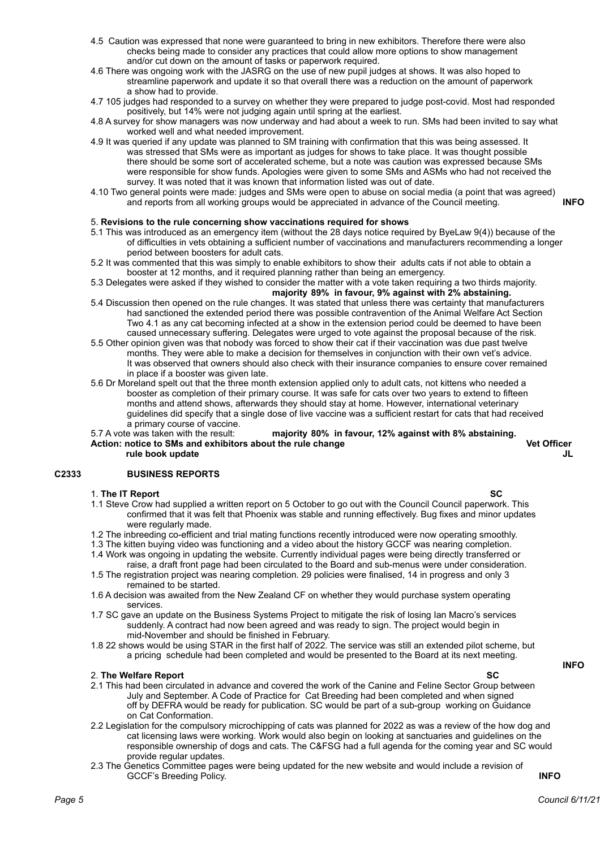- 4.5 Caution was expressed that none were guaranteed to bring in new exhibitors. Therefore there were also checks being made to consider any practices that could allow more options to show management and/or cut down on the amount of tasks or paperwork required.
- 4.6 There was ongoing work with the JASRG on the use of new pupil judges at shows. It was also hoped to streamline paperwork and update it so that overall there was a reduction on the amount of paperwork a show had to provide.
- 4.7 105 judges had responded to a survey on whether they were prepared to judge post-covid. Most had responded positively, but 14% were not judging again until spring at the earliest.
- 4.8 A survey for show managers was now underway and had about a week to run. SMs had been invited to say what worked well and what needed improvement.
- 4.9 It was queried if any update was planned to SM training with confirmation that this was being assessed. It was stressed that SMs were as important as judges for shows to take place. It was thought possible there should be some sort of accelerated scheme, but a note was caution was expressed because SMs were responsible for show funds. Apologies were given to some SMs and ASMs who had not received the survey. It was noted that it was known that information listed was out of date.
- 4.10 Two general points were made: judges and SMs were open to abuse on social media (a point that was agreed) and reports from all working groups would be appreciated in advance of the Council meeting. **INFO**

### 5. **Revisions to the rule concerning show vaccinations required for shows**

- 5.1 This was introduced as an emergency item (without the 28 days notice required by ByeLaw 9(4)) because of the of difficulties in vets obtaining a sufficient number of vaccinations and manufacturers recommending a longer period between boosters for adult cats.
- 5.2 It was commented that this was simply to enable exhibitors to show their adults cats if not able to obtain a booster at 12 months, and it required planning rather than being an emergency.
- 5.3 Delegates were asked if they wished to consider the matter with a vote taken requiring a two thirds majority. **majority 89% in favour, 9% against with 2% abstaining.**
- 5.4 Discussion then opened on the rule changes. It was stated that unless there was certainty that manufacturers had sanctioned the extended period there was possible contravention of the Animal Welfare Act Section Two 4.1 as any cat becoming infected at a show in the extension period could be deemed to have been caused unnecessary suffering. Delegates were urged to vote against the proposal because of the risk.
- 5.5 Other opinion given was that nobody was forced to show their cat if their vaccination was due past twelve months. They were able to make a decision for themselves in conjunction with their own vet's advice. It was observed that owners should also check with their insurance companies to ensure cover remained in place if a booster was given late.
- 5.6 Dr Moreland spelt out that the three month extension applied only to adult cats, not kittens who needed a booster as completion of their primary course. It was safe for cats over two years to extend to fifteen months and attend shows, afterwards they should stay at home. However, international veterinary guidelines did specify that a single dose of live vaccine was a sufficient restart for cats that had received a primary course of vaccine.<br>5.7 A vote was taken with the result:
- majority 80% in favour, 12% against with 8% abstaining. **Action: notice to SMs and exhibitors about the rule change <b>Vet Officer Vet Officer rule book update JL**

### **C2333 BUSINESS REPORTS**

### 1. **The IT Report SC**

- 1.1 Steve Crow had supplied a written report on 5 October to go out with the Council Council paperwork. This confirmed that it was felt that Phoenix was stable and running effectively. Bug fixes and minor updates were regularly made.
- 1.2 The inbreeding co-efficient and trial mating functions recently introduced were now operating smoothly.
- 1.3 The kitten buying video was functioning and a video about the history GCCF was nearing completion.
- 1.4 Work was ongoing in updating the website. Currently individual pages were being directly transferred or raise, a draft front page had been circulated to the Board and sub-menus were under consideration.
- 1.5 The registration project was nearing completion. 29 policies were finalised, 14 in progress and only 3 remained to be started.
- 1.6 A decision was awaited from the New Zealand CF on whether they would purchase system operating services.
- 1.7 SC gave an update on the Business Systems Project to mitigate the risk of losing Ian Macro's services suddenly. A contract had now been agreed and was ready to sign. The project would begin in mid-November and should be finished in February.
- 1.8 22 shows would be using STAR in the first half of 2022. The service was still an extended pilot scheme, but a pricing schedule had been completed and would be presented to the Board at its next meeting.

### **2. The Welfare Report**

- 2.1 This had been circulated in advance and covered the work of the Canine and Feline Sector Group between July and September. A Code of Practice for Cat Breeding had been completed and when signed off by DEFRA would be ready for publication. SC would be part of a sub-group working on Guidance on Cat Conformation.
- 2.2 Legislation for the compulsory microchipping of cats was planned for 2022 as was a review of the how dog and cat licensing laws were working. Work would also begin on looking at sanctuaries and guidelines on the responsible ownership of dogs and cats. The C&FSG had a full agenda for the coming year and SC would provide regular updates.
- 2.3 The Genetics Committee pages were being updated for the new website and would include a revision of GCCF's Breeding Policy. **INFO**

**INFO**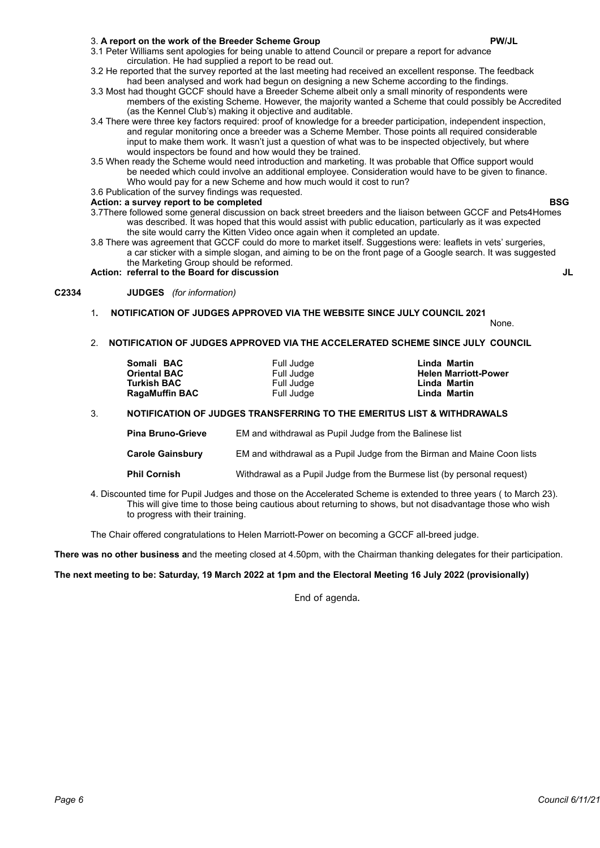### 3. **A report on the work of the Breeder Scheme Group PW/JL**

- 3.2 He reported that the survey reported at the last meeting had received an excellent response. The feedback had been analysed and work had begun on designing a new Scheme according to the findings.
- 3.3 Most had thought GCCF should have a Breeder Scheme albeit only a small minority of respondents were members of the existing Scheme. However, the majority wanted a Scheme that could possibly be Accredited (as the Kennel Club's) making it objective and auditable.
- 3.4 There were three key factors required: proof of knowledge for a breeder participation, independent inspection, and regular monitoring once a breeder was a Scheme Member. Those points all required considerable input to make them work. It wasn't just a question of what was to be inspected objectively, but where would inspectors be found and how would they be trained.
- 3.5 When ready the Scheme would need introduction and marketing. It was probable that Office support would be needed which could involve an additional employee. Consideration would have to be given to finance. Who would pay for a new Scheme and how much would it cost to run?

### 3.6 Publication of the survey findings was requested.

### Action: a survey report to be completed **BSG**

- 3.7There followed some general discussion on back street breeders and the liaison between GCCF and Pets4Homes was described. It was hoped that this would assist with public education, particularly as it was expected the site would carry the Kitten Video once again when it completed an update.
- 3.8 There was agreement that GCCF could do more to market itself. Suggestions were: leaflets in vets' surgeries, a car sticker with a simple slogan, and aiming to be on the front page of a Google search. It was suggested the Marketing Group should be reformed.

## **Action: referral to the Board for discussion JL**

### **C2334 JUDGES** *(for information)*

# 1**. NOTIFICATION OF JUDGES APPROVED VIA THE WEBSITE SINCE JULY COUNCIL 2021**

None.

### 2. **NOTIFICATION OF JUDGES APPROVED VIA THE ACCELERATED SCHEME SINCE JULY COUNCIL**

| Somali BAC<br><b>Oriental BAC</b> | Full Judge               | Linda Martin<br><b>Helen Marriott-Power</b> |
|-----------------------------------|--------------------------|---------------------------------------------|
| Turkish BAC                       | Full Judge<br>Full Judge | Linda Martin                                |
| <b>RagaMuffin BAC</b>             | Full Judge               | Linda Martin                                |

### 3. **NOTIFICATION OF JUDGES TRANSFERRING TO THE EMERITUS LIST & WITHDRAWALS**

- **Pina Bruno-Grieve** EM and withdrawal as Pupil Judge from the Balinese list **Carole Gainsbury** EM and withdrawal as a Pupil Judge from the Birman and Maine Coon lists
- **Phil Cornish** Withdrawal as a Pupil Judge from the Burmese list (by personal request)
- 4. Discounted time for Pupil Judges and those on the Accelerated Scheme is extended to three years ( to March 23). This will give time to those being cautious about returning to shows, but not disadvantage those who wish to progress with their training.

The Chair offered congratulations to Helen Marriott-Power on becoming a GCCF all-breed judge.

**There was no other business a**nd the meeting closed at 4.50pm, with the Chairman thanking delegates for their participation.

### **The next meeting to be: Saturday, 19 March 2022 at 1pm and the Electoral Meeting 16 July 2022 (provisionally)**

End of agenda.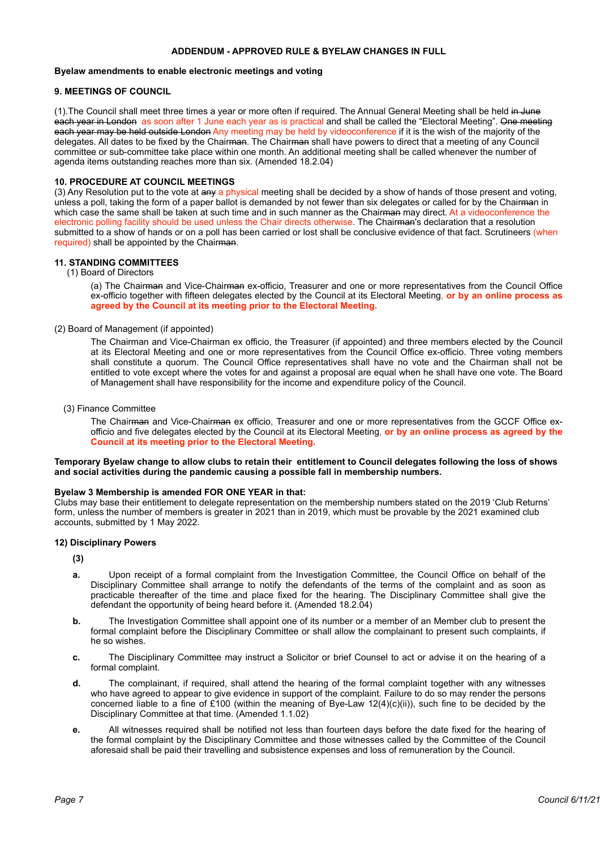### **ADDENDUM - APPROVED RULE & BYELAW CHANGES IN FULL**

### **Byelaw amendments to enable electronic meetings and voting**

### **9. MEETINGS OF COUNCIL**

(1). The Council shall meet three times a year or more often if required. The Annual General Meeting shall be held in June each year in London as soon after 1 June each year as is practical and shall be called the "Electoral Meeting". One meeting each year may be held outside London Any meeting may be held by videoconference if it is the wish of the majority of the delegates. All dates to be fixed by the Chairman. The Chairman shall have powers to direct that a meeting of any Council committee or sub-committee take place within one month. An additional meeting shall be called whenever the number of agenda items outstanding reaches more than six. (Amended 18.2.04)

### **10. PROCEDURE AT COUNCIL MEETINGS**

(3) Any Resolution put to the vote at any a physical meeting shall be decided by a show of hands of those present and voting, unless a poll, taking the form of a paper ballot is demanded by not fewer than six delegates or called for by the Chairman in which case the same shall be taken at such time and in such manner as the Chairman may direct. At a videoconference the electronic polling facility should be used unless the Chair directs otherwise. The Chairman's declaration that a resolution submitted to a show of hands or on a poll has been carried or lost shall be conclusive evidence of that fact. Scrutineers (when required) shall be appointed by the Chairman.

### **11. STANDING COMMITTEES**

(1) Board of Directors

(a) The Chairman and Vice-Chairman ex-officio, Treasurer and one or more representatives from the Council Office ex-officio together with fifteen delegates elected by the Council at its Electoral Meeting, **or by an online process as agreed by the Council at its meeting prior to the Electoral Meeting.**

### (2) Board of Management (if appointed)

The Chairman and Vice-Chairman ex officio, the Treasurer (if appointed) and three members elected by the Council at its Electoral Meeting and one or more representatives from the Council Office ex-officio. Three voting members shall constitute a quorum. The Council Office representatives shall have no vote and the Chairman shall not be entitled to vote except where the votes for and against a proposal are equal when he shall have one vote. The Board of Management shall have responsibility for the income and expenditure policy of the Council.

### (3) Finance Committee

The Chairman and Vice-Chairman ex officio, Treasurer and one or more representatives from the GCCF Office exofficio and five delegates elected by the Council at its Electoral Meeting, **or by an online process as agreed by the Council at its meeting prior to the Electoral Meeting.**

### **Temporary Byelaw change to allow clubs to retain their entitlement to Council delegates following the loss of shows and social activities during the pandemic causing a possible fall in membership numbers.**

### **Byelaw 3 Membership is amended FOR ONE YEAR in that:**

Clubs may base their entitlement to delegate representation on the membership numbers stated on the 2019 'Club Returns' form, unless the number of members is greater in 2021 than in 2019, which must be provable by the 2021 examined club accounts, submitted by 1 May 2022.

### **12) Disciplinary Powers**

**(3)**

- **a.** Upon receipt of a formal complaint from the Investigation Committee, the Council Office on behalf of the Disciplinary Committee shall arrange to notify the defendants of the terms of the complaint and as soon as practicable thereafter of the time and place fixed for the hearing. The Disciplinary Committee shall give the defendant the opportunity of being heard before it. (Amended 18.2.04)
- **b.** The Investigation Committee shall appoint one of its number or a member of an Member club to present the formal complaint before the Disciplinary Committee or shall allow the complainant to present such complaints, if he so wishes.
- **c.** The Disciplinary Committee may instruct a Solicitor or brief Counsel to act or advise it on the hearing of a formal complaint.
- **d.** The complainant, if required, shall attend the hearing of the formal complaint together with any witnesses who have agreed to appear to give evidence in support of the complaint. Failure to do so may render the persons concerned liable to a fine of £100 (within the meaning of Bye-Law 12(4)(c)(ii)), such fine to be decided by the Disciplinary Committee at that time. (Amended 1.1.02)
- **e.** All witnesses required shall be notified not less than fourteen days before the date fixed for the hearing of the formal complaint by the Disciplinary Committee and those witnesses called by the Committee of the Council aforesaid shall be paid their travelling and subsistence expenses and loss of remuneration by the Council.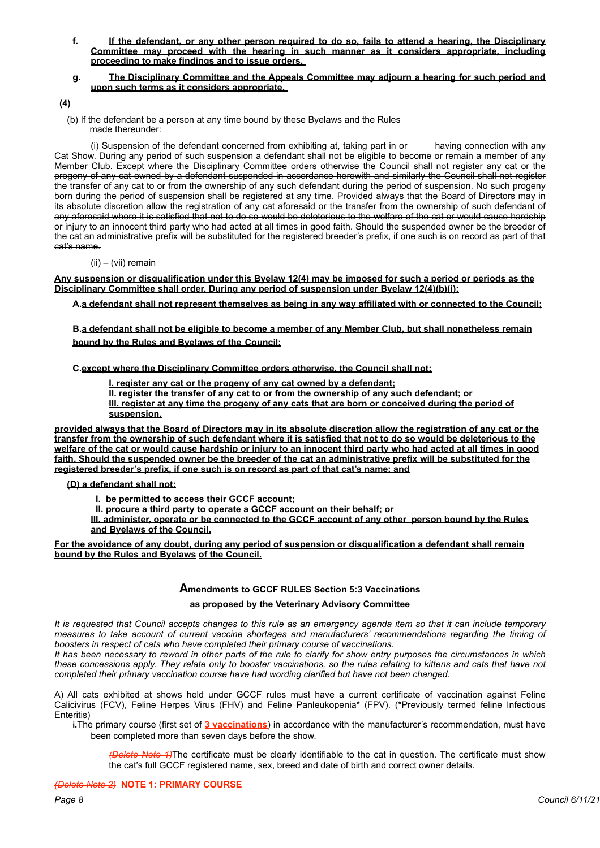**f. If the defendant, or any other person required to do so, fails to attend a hearing, the Disciplinary Committee may proceed with the hearing in such manner as it considers appropriate, including proceeding to make findings and to issue orders.** 

### **g. The Disciplinary Committee and the Appeals Committee may adjourn a hearing for such period and upon such terms as it considers appropriate.**

**(4)**

 (b) If the defendant be a person at any time bound by these Byelaws and the Rules made thereunder:

(i) Suspension of the defendant concerned from exhibiting at, taking part in or having connection with any Cat Show. During any period of such suspension a defendant shall not be eligible to become or remain a member of any Member Club. Except where the Disciplinary Committee orders otherwise the Council shall not register any cat or the progeny of any cat owned by a defendant suspended in accordance herewith and similarly the Council shall not register the transfer of any cat to or from the ownership of any such defendant during the period of suspension. No such progeny born during the period of suspension shall be registered at any time. Provided always that the Board of Directors may in its absolute discretion allow the registration of any cat aforesaid or the transfer from the ownership of such defendant of any aforesaid where it is satisfied that not to do so would be deleterious to the welfare of the cat or would cause hardship or injury to an innocent third party who had acted at all times in good faith. Should the suspended owner be the breeder of the cat an administrative prefix will be substituted for the registered breeder's prefix, if one such is on record as part of that cat's name.

(ii) – (vii) remain

**Any suspension or disqualification under this Byelaw 12(4) may be imposed for such a period or periods as the Disciplinary Committee shall order. During any period of suspension under Byelaw 12(4)(b)(i):** 

**A.a defendant shall not represent themselves as being in any way affiliated with or connected to the Council;** 

**B.a defendant shall not be eligible to become a member of any Member Club, but shall nonetheless remain bound by the Rules and Byelaws of the Council;**

**C.except where the Disciplinary Committee orders otherwise, the Council shall not:** 

**I. register any cat or the progeny of any cat owned by a defendant;**

**II. register the transfer of any cat to or from the ownership of any such defendant; or III. register at any time the progeny of any cats that are born or conceived during the period of suspension,** 

**provided always that the Board of Directors may in its absolute discretion allow the registration of any cat or the transfer from the ownership of such defendant where it is satisfied that not to do so would be deleterious to the welfare of the cat or would cause hardship or injury to an innocent third party who had acted at all times in good faith. Should the suspended owner be the breeder of the cat an administrative prefix will be substituted for the registered breeder's prefix, if one such is on record as part of that cat's name; and** 

 **(D) a defendant shall not:** 

 **I. be permitted to access their GCCF account;** 

 **II. procure a third party to operate a GCCF account on their behalf; or** 

**III. administer, operate or be connected to the GCCF account of any other person bound by the Rules and Byelaws of the Council.** 

**For the avoidance of any doubt, during any period of suspension or disqualification a defendant shall remain bound by the Rules and Byelaws of the Council.** 

### **Amendments to GCCF RULES Section 5:3 Vaccinations**

### **as proposed by the Veterinary Advisory Committee**

*It is requested that Council accepts changes to this rule as an emergency agenda item so that it can include temporary measures to take account of current vaccine shortages and manufacturers' recommendations regarding the timing of boosters in respect of cats who have completed their primary course of vaccinations.* 

*It has been necessary to reword in other parts of the rule to clarify for show entry purposes the circumstances in which these concessions apply. They relate only to booster vaccinations, so the rules relating to kittens and cats that have not completed their primary vaccination course have had wording clarified but have not been changed.* 

A) All cats exhibited at shows held under GCCF rules must have a current certificate of vaccination against Feline Calicivirus (FCV), Feline Herpes Virus (FHV) and Feline Panleukopenia\* (FPV). (\*Previously termed feline Infectious Enteritis)

**i.**The primary course (first set of **3 vaccinations**) in accordance with the manufacturer's recommendation, must have been completed more than seven days before the show.

*(Delete Note 1)*The certificate must be clearly identifiable to the cat in question. The certificate must show the cat's full GCCF registered name, sex, breed and date of birth and correct owner details.

### *(Delete Note 2)* **NOTE 1: PRIMARY COURSE**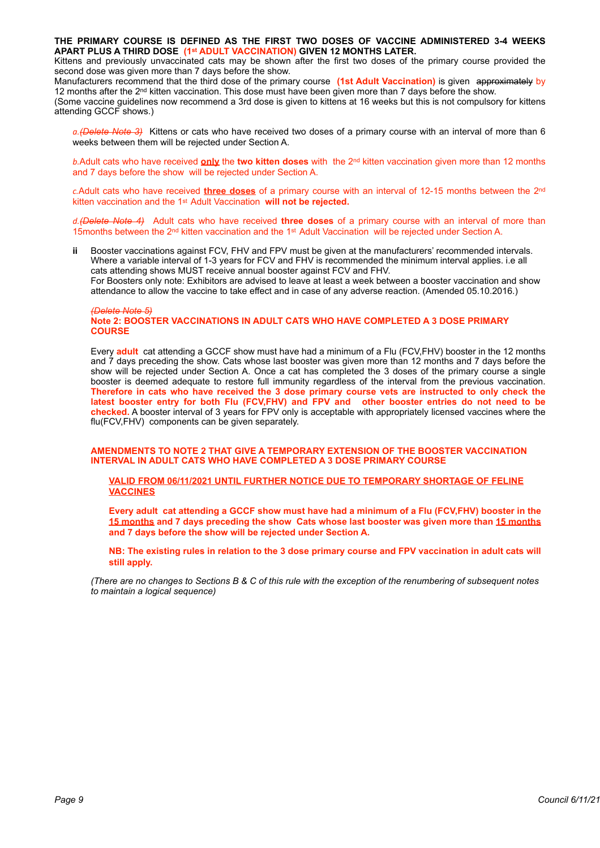**THE PRIMARY COURSE IS DEFINED AS THE FIRST TWO DOSES OF VACCINE ADMINISTERED 3-4 WEEKS APART PLUS A THIRD DOSE (1st ADULT VACCINATION) GIVEN 12 MONTHS LATER.**

Kittens and previously unvaccinated cats may be shown after the first two doses of the primary course provided the second dose was given more than 7 days before the show.

Manufacturers recommend that the third dose of the primary course **(1st Adult Vaccination)** is given approximately by 12 months after the 2<sup>nd</sup> kitten vaccination. This dose must have been given more than 7 days before the show.

(Some vaccine guidelines now recommend a 3rd dose is given to kittens at 16 weeks but this is not compulsory for kittens attending GCCF shows.)

*a.(Delete Note 3)* Kittens or cats who have received two doses of a primary course with an interval of more than 6 weeks between them will be rejected under Section A.

*b.*Adult cats who have received **only** the **two kitten doses** with the 2nd kitten vaccination given more than 12 months and 7 days before the show will be rejected under Section A.

*c.*Adult cats who have received **three doses** of a primary course with an interval of 12-15 months between the 2nd kitten vaccination and the 1st Adult Vaccination **will not be rejected.**

*d.(Delete Note 4)* Adult cats who have received **three doses** of a primary course with an interval of more than 15months between the 2nd kitten vaccination and the 1st Adult Vaccination will be rejected under Section A.

**ii** Booster vaccinations against FCV, FHV and FPV must be given at the manufacturers' recommended intervals. Where a variable interval of 1-3 years for FCV and FHV is recommended the minimum interval applies. i.e all cats attending shows MUST receive annual booster against FCV and FHV. For Boosters only note: Exhibitors are advised to leave at least a week between a booster vaccination and show attendance to allow the vaccine to take effect and in case of any adverse reaction. (Amended 05.10.2016.)

#### *(Delete Note 5)* **Note 2: BOOSTER VACCINATIONS IN ADULT CATS WHO HAVE COMPLETED A 3 DOSE PRIMARY COURSE**

Every **adult** cat attending a GCCF show must have had a minimum of a Flu (FCV,FHV) booster in the 12 months and 7 days preceding the show. Cats whose last booster was given more than 12 months and 7 days before the show will be rejected under Section A. Once a cat has completed the 3 doses of the primary course a single booster is deemed adequate to restore full immunity regardless of the interval from the previous vaccination. **Therefore in cats who have received the 3 dose primary course vets are instructed to only check the latest booster entry for both Flu (FCV,FHV) and FPV and other booster entries do not need to be checked.** A booster interval of 3 years for FPV only is acceptable with appropriately licensed vaccines where the flu(FCV,FHV) components can be given separately.

**AMENDMENTS TO NOTE 2 THAT GIVE A TEMPORARY EXTENSION OF THE BOOSTER VACCINATION INTERVAL IN ADULT CATS WHO HAVE COMPLETED A 3 DOSE PRIMARY COURSE**

**VALID FROM 06/11/2021 UNTIL FURTHER NOTICE DUE TO TEMPORARY SHORTAGE OF FELINE VACCINES**

**Every adult cat attending a GCCF show must have had a minimum of a Flu (FCV,FHV) booster in the 15 months and 7 days preceding the show Cats whose last booster was given more than 15 months and 7 days before the show will be rejected under Section A.**

**NB: The existing rules in relation to the 3 dose primary course and FPV vaccination in adult cats will still apply.**

*(There are no changes to Sections B & C of this rule with the exception of the renumbering of subsequent notes to maintain a logical sequence)*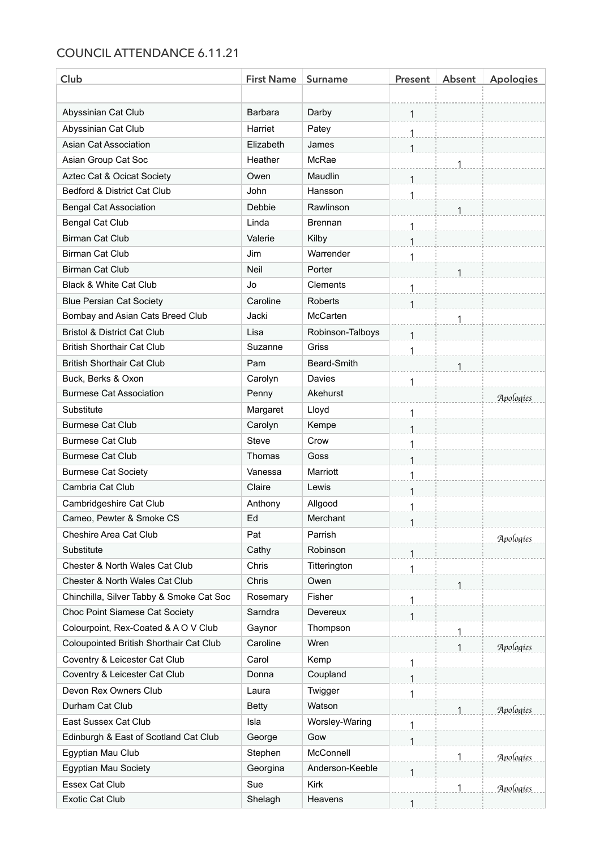# COUNCIL ATTENDANCE 6.11.21

| Club                                     | <b>First Name</b> | Surname          | Present | Absent | <b>Apologies</b> |
|------------------------------------------|-------------------|------------------|---------|--------|------------------|
|                                          |                   |                  |         |        |                  |
| Abyssinian Cat Club                      | <b>Barbara</b>    | Darby            | 1       |        |                  |
| Abyssinian Cat Club                      | Harriet           | Patey            | 1       |        |                  |
| Asian Cat Association                    | Elizabeth         | James            | 1       |        |                  |
| Asian Group Cat Soc                      | Heather           | McRae            |         | 1      |                  |
| Aztec Cat & Ocicat Society               | Owen              | Maudlin          |         |        |                  |
| Bedford & District Cat Club              | John              | Hansson          | 1       |        |                  |
| <b>Bengal Cat Association</b>            | <b>Debbie</b>     | Rawlinson        |         |        |                  |
| <b>Bengal Cat Club</b>                   | Linda             | <b>Brennan</b>   | 1       |        |                  |
| <b>Birman Cat Club</b>                   | Valerie           | Kilby            | 1       |        |                  |
| <b>Birman Cat Club</b>                   | Jim               | Warrender        | 1       |        |                  |
| <b>Birman Cat Club</b>                   | Neil              | Porter           |         | 1      |                  |
| Black & White Cat Club                   | Jo                | <b>Clements</b>  |         |        |                  |
| <b>Blue Persian Cat Society</b>          | Caroline          | <b>Roberts</b>   | 1       |        |                  |
| Bombay and Asian Cats Breed Club         | Jacki             | McCarten         |         | 1      |                  |
| <b>Bristol &amp; District Cat Club</b>   | Lisa              | Robinson-Talboys | 1       |        |                  |
| <b>British Shorthair Cat Club</b>        | Suzanne           | <b>Griss</b>     | 1       |        |                  |
| <b>British Shorthair Cat Club</b>        | Pam               | Beard-Smith      |         |        |                  |
| Buck, Berks & Oxon                       | Carolyn           | Davies           | 1       |        |                  |
| <b>Burmese Cat Association</b>           | Penny             | Akehurst         |         |        | Apologies        |
| Substitute                               | Margaret          | Lloyd            | 1       |        |                  |
| <b>Burmese Cat Club</b>                  | Carolyn           | Kempe            | 1       |        |                  |
| <b>Burmese Cat Club</b>                  | <b>Steve</b>      | Crow             | 1       |        |                  |
| <b>Burmese Cat Club</b>                  | Thomas            | Goss             | 1       |        |                  |
| <b>Burmese Cat Society</b>               | Vanessa           | Marriott         |         |        |                  |
| Cambria Cat Club                         | Claire            | Lewis            | 1       |        |                  |
| Cambridgeshire Cat Club                  | Anthony           | Allgood          | 1       |        |                  |
| Cameo. Pewter & Smoke CS                 | Ed                | Merchant         |         |        |                  |
| Cheshire Area Cat Club                   | Pat               | Parrish          |         |        | Apologies        |
| Substitute                               | Cathy             | Robinson         |         |        |                  |
| Chester & North Wales Cat Club           | Chris             | Titterington     | 1       |        |                  |
| Chester & North Wales Cat Club           | Chris             | Owen             |         |        |                  |
| Chinchilla, Silver Tabby & Smoke Cat Soc | Rosemary          | Fisher           | 1       |        |                  |
| Choc Point Siamese Cat Society           | Sarndra           | Devereux         | 1       |        |                  |
| Colourpoint, Rex-Coated & A O V Club     | Gaynor            | Thompson         |         | 1      |                  |
| Coloupointed British Shorthair Cat Club  | Caroline          | Wren             |         | 1      | Apologies        |
| Coventry & Leicester Cat Club            | Carol             | Kemp             |         |        |                  |
| Coventry & Leicester Cat Club            | Donna             | Coupland         | 1       |        |                  |
| Devon Rex Owners Club                    | Laura             | Twigger          | 1       |        |                  |
| Durham Cat Club                          | <b>Betty</b>      | Watson           |         |        | Apologies        |
| East Sussex Cat Club                     | Isla              | Worsley-Waring   | 1       |        |                  |
| Edinburgh & East of Scotland Cat Club    | George            | Gow              |         |        |                  |
| Egyptian Mau Club                        | Stephen           | McConnell        |         | 1      | Apologies        |
| Egyptian Mau Society                     | Georgina          | Anderson-Keeble  |         |        |                  |
| Essex Cat Club                           | Sue               | <b>Kirk</b>      |         |        | Apologies        |
| <b>Exotic Cat Club</b>                   | Shelagh           | Heavens          |         |        |                  |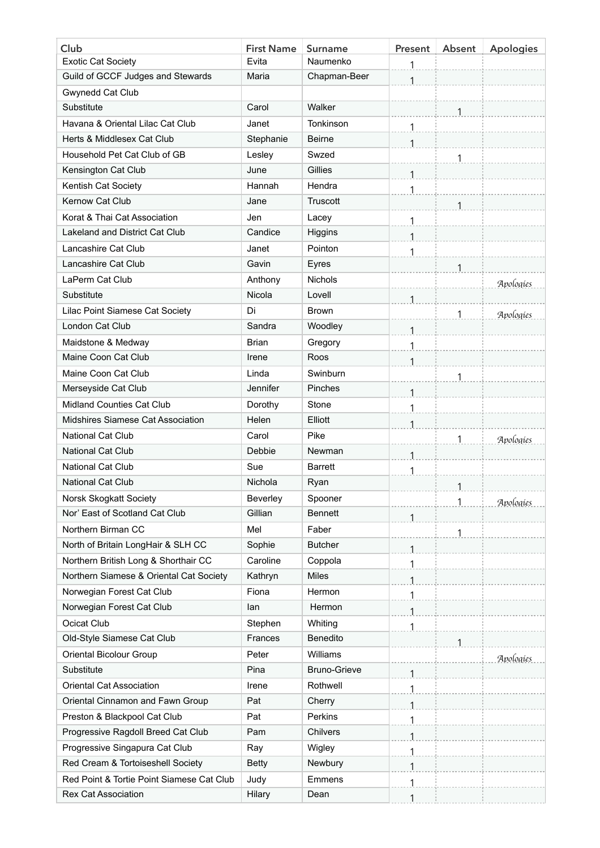| Club                                      | <b>First Name</b> | <b>Surname</b>      | <b>Present</b> | Absent | <b>Apologies</b> |
|-------------------------------------------|-------------------|---------------------|----------------|--------|------------------|
| <b>Exotic Cat Society</b>                 | Evita             | Naumenko            | 1              |        |                  |
| Guild of GCCF Judges and Stewards         | Maria             | Chapman-Beer        | 1              |        |                  |
| Gwynedd Cat Club                          |                   |                     |                |        |                  |
| Substitute                                | Carol             | Walker              |                |        |                  |
| Havana & Oriental Lilac Cat Club          | Janet             | Tonkinson           | 1              |        |                  |
| Herts & Middlesex Cat Club                | Stephanie         | <b>Beirne</b>       |                |        |                  |
| Household Pet Cat Club of GB              | Lesley            | Swzed               |                | 1      |                  |
| Kensington Cat Club                       | June              | Gillies             |                |        |                  |
| Kentish Cat Society                       | Hannah            | Hendra              | 1              |        |                  |
| Kernow Cat Club                           | Jane              | Truscott            |                | 1      |                  |
| Korat & Thai Cat Association              | Jen               | Lacey               | 1              |        |                  |
| Lakeland and District Cat Club            | Candice           | Higgins             |                |        |                  |
| Lancashire Cat Club                       | Janet             | Pointon             |                |        |                  |
| Lancashire Cat Club                       | Gavin             | Eyres               |                | 1      |                  |
| LaPerm Cat Club                           | Anthony           | <b>Nichols</b>      |                |        | Apologies        |
| Substitute                                | Nicola            | Lovell              | 1              |        |                  |
| Lilac Point Siamese Cat Society           | Di                | <b>Brown</b>        |                | 1      | Apologies        |
| London Cat Club                           | Sandra            | Woodley             |                |        |                  |
| Maidstone & Medway                        | Brian             | Gregory             | 1              |        |                  |
| Maine Coon Cat Club                       | Irene             | Roos                | 1              |        |                  |
| Maine Coon Cat Club                       | Linda             | Swinburn            |                | 1      |                  |
| Merseyside Cat Club                       | Jennifer          | Pinches             |                |        |                  |
| <b>Midland Counties Cat Club</b>          | Dorothy           | Stone               | 1              |        |                  |
| Midshires Siamese Cat Association         | Helen             | Elliott             | 1              |        |                  |
| <b>National Cat Club</b>                  | Carol             | Pike                |                |        | Apologies        |
| <b>National Cat Club</b>                  | Debbie            | Newman              | 1              |        |                  |
| <b>National Cat Club</b>                  | Sue               | <b>Barrett</b>      | 1              |        |                  |
| <b>National Cat Club</b>                  | Nichola           | Ryan                |                | 1.     |                  |
| Norsk Skogkatt Society                    | Beverley          | Spooner             |                | 1      | Apologies        |
| Nor' East of Scotland Cat Club            | Gillian           | <b>Bennett</b>      |                |        |                  |
| Northern Birman CC                        | Mel               | Faber               |                | 1      |                  |
| North of Britain LongHair & SLH CC        | Sophie            | <b>Butcher</b>      |                |        |                  |
| Northern British Long & Shorthair CC      | Caroline          | Coppola             | 1              |        |                  |
| Northern Siamese & Oriental Cat Society   | Kathryn           | <b>Miles</b>        | 1              |        |                  |
| Norwegian Forest Cat Club                 | Fiona             | Hermon              |                |        |                  |
| Norwegian Forest Cat Club                 | lan               | Hermon              | $\mathbf{1}$   |        |                  |
| Ocicat Club                               | Stephen           | Whiting             | 1              |        |                  |
| Old-Style Siamese Cat Club                | Frances           | Benedito            |                | 1      |                  |
| <b>Oriental Bicolour Group</b>            | Peter             | Williams            |                |        | Apologies        |
| Substitute                                | Pina              | <b>Bruno-Grieve</b> | 1              |        |                  |
| <b>Oriental Cat Association</b>           | Irene             | Rothwell            | 1              |        |                  |
| Oriental Cinnamon and Fawn Group          | Pat               | Cherry              |                |        |                  |
| Preston & Blackpool Cat Club              | Pat               | Perkins             | 1              |        |                  |
| Progressive Ragdoll Breed Cat Club        | Pam               | Chilvers            | 1              |        |                  |
| Progressive Singapura Cat Club            | Ray               | Wigley              | 1              |        |                  |
| Red Cream & Tortoiseshell Society         | <b>Betty</b>      | Newbury             | 1              |        |                  |
| Red Point & Tortie Point Siamese Cat Club | Judy              | Emmens              | 1              |        |                  |
| <b>Rex Cat Association</b>                | Hilary            | Dean                | 1              |        |                  |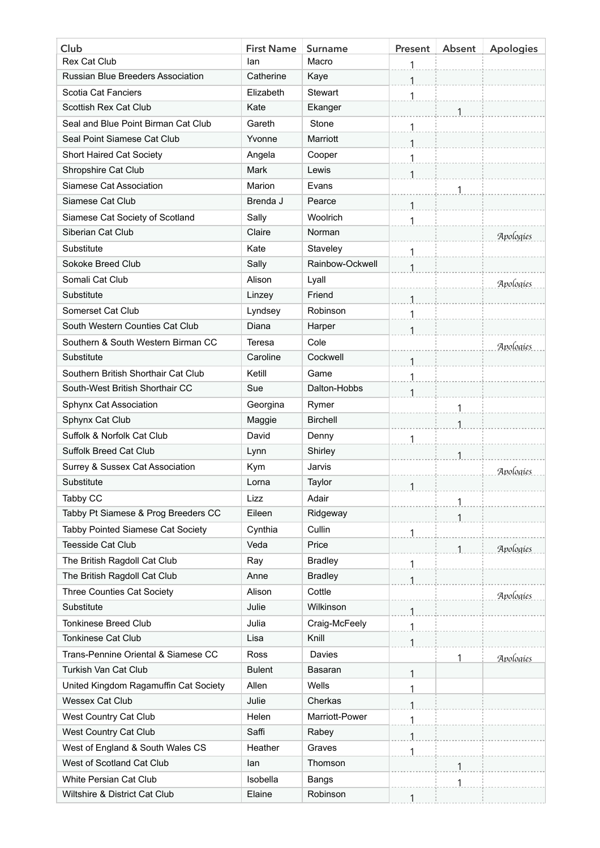| Club                                     | <b>First Name</b> | <b>Surname</b>  | Present      | Absent | <b>Apologies</b> |
|------------------------------------------|-------------------|-----------------|--------------|--------|------------------|
| <b>Rex Cat Club</b>                      | lan               | Macro           | 1            |        |                  |
| <b>Russian Blue Breeders Association</b> | Catherine         | Kaye            | 1            |        |                  |
| Scotia Cat Fanciers                      | Elizabeth         | Stewart         | 1            |        |                  |
| Scottish Rex Cat Club                    | Kate              | Ekanger         |              |        |                  |
| Seal and Blue Point Birman Cat Club      | Gareth            | Stone           | 1            |        |                  |
| Seal Point Siamese Cat Club              | Yvonne            | Marriott        |              |        |                  |
| <b>Short Haired Cat Society</b>          | Angela            | Cooper          | 1            |        |                  |
| Shropshire Cat Club                      | <b>Mark</b>       | Lewis           | 1            |        |                  |
| Siamese Cat Association                  | Marion            | Evans           |              | 1      |                  |
| Siamese Cat Club                         | Brenda J          | Pearce          | 1            |        |                  |
| Siamese Cat Society of Scotland          | Sally             | Woolrich        | 1            |        |                  |
| Siberian Cat Club                        | Claire            | Norman          |              |        | Apologies        |
| Substitute                               | Kate              | Staveley        |              |        |                  |
| Sokoke Breed Club                        | Sally             | Rainbow-Ockwell | $\mathbf{1}$ |        |                  |
| Somali Cat Club                          | Alison            | Lyall           |              |        | Apologies        |
| Substitute                               | Linzey            | Friend          | 1            |        |                  |
| Somerset Cat Club                        | Lyndsey           | Robinson        | 1            |        |                  |
| South Western Counties Cat Club          | Diana             | Harper          |              |        |                  |
| Southern & South Western Birman CC       | Teresa            | Cole            |              |        | Apologies        |
| Substitute                               | Caroline          | Cockwell        | 1            |        |                  |
| Southern British Shorthair Cat Club      | Ketill            | Game            | 1            |        |                  |
| South-West British Shorthair CC          | Sue               | Dalton-Hobbs    | 1            |        |                  |
| Sphynx Cat Association                   | Georgina          | Rymer           |              | 1      |                  |
| Sphynx Cat Club                          | Maggie            | <b>Birchell</b> |              | 1      |                  |
| Suffolk & Norfolk Cat Club               | David             | Denny           |              |        |                  |
| <b>Suffolk Breed Cat Club</b>            | Lynn              | Shirley         |              |        |                  |
| Surrey & Sussex Cat Association          | Kym               | Jarvis          |              |        | Apologies        |
| Substitute                               | Lorna             | Taylor          | 1            |        |                  |
| Tabby CC                                 | Lizz              | Adair           |              | 1      |                  |
| Tabby Pt Siamese & Prog Breeders CC      | Eileen            | Ridgeway        |              |        |                  |
| Tabby Pointed Siamese Cat Society        | Cynthia           | Cullin          | 1            |        |                  |
| <b>Teesside Cat Club</b>                 | Veda              | Price           |              | 1      | Apologies        |
| The British Ragdoll Cat Club             | Ray               | <b>Bradley</b>  | 1            |        |                  |
| The British Ragdoll Cat Club             | Anne              | <b>Bradley</b>  | 1            |        |                  |
| <b>Three Counties Cat Society</b>        | Alison            | Cottle          |              |        | Apologies        |
| Substitute                               | Julie             | Wilkinson       |              |        |                  |
| <b>Tonkinese Breed Club</b>              | Julia             | Craig-McFeely   |              |        |                  |
| <b>Tonkinese Cat Club</b>                | Lisa              | Knill           | 1            |        |                  |
| Trans-Pennine Oriental & Siamese CC      | <b>Ross</b>       | Davies          |              | 1      | Apologies        |
| Turkish Van Cat Club                     | <b>Bulent</b>     | Basaran         | 1            |        |                  |
| United Kingdom Ragamuffin Cat Society    | Allen             | Wells           | 1            |        |                  |
| <b>Wessex Cat Club</b>                   | Julie             | Cherkas         |              |        |                  |
| West Country Cat Club                    | Helen             | Marriott-Power  | 1            |        |                  |
| West Country Cat Club                    | Saffi             | Rabey           | 1            |        |                  |
| West of England & South Wales CS         | Heather           | Graves          | 1            |        |                  |
| West of Scotland Cat Club                | lan               | Thomson         |              | 1      |                  |
| White Persian Cat Club                   | Isobella          | Bangs           |              | 1      |                  |
| Wiltshire & District Cat Club            | Elaine            | Robinson        | 1            |        |                  |